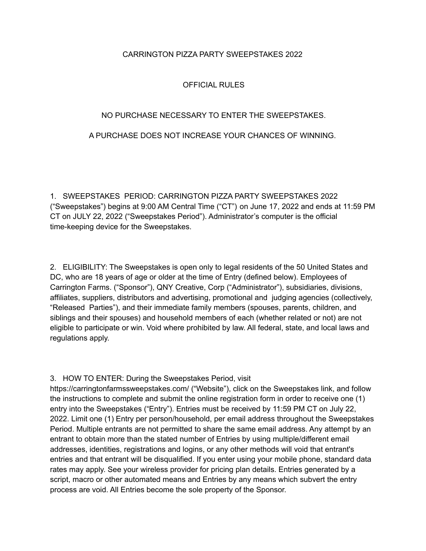## CARRINGTON PIZZA PARTY SWEEPSTAKES 2022

# OFFICIAL RULES

## NO PURCHASE NECESSARY TO ENTER THE SWEEPSTAKES.

## A PURCHASE DOES NOT INCREASE YOUR CHANCES OF WINNING.

1. SWEEPSTAKES PERIOD: CARRINGTON PIZZA PARTY SWEEPSTAKES 2022 ("Sweepstakes") begins at 9:00 AM Central Time ("CT") on June 17, 2022 and ends at 11:59 PM CT on JULY 22, 2022 ("Sweepstakes Period"). Administrator's computer is the official time-keeping device for the Sweepstakes.

2. ELIGIBILITY: The Sweepstakes is open only to legal residents of the 50 United States and DC, who are 18 years of age or older at the time of Entry (defined below). Employees of Carrington Farms. ("Sponsor"), QNY Creative, Corp ("Administrator"), subsidiaries, divisions, affiliates, suppliers, distributors and advertising, promotional and judging agencies (collectively, "Released Parties"), and their immediate family members (spouses, parents, children, and siblings and their spouses) and household members of each (whether related or not) are not eligible to participate or win. Void where prohibited by law. All federal, state, and local laws and regulations apply.

#### 3. HOW TO ENTER: During the Sweepstakes Period, visit

https://carringtonfarmssweepstakes.com/ ("Website"), click on the Sweepstakes link, and follow the instructions to complete and submit the online registration form in order to receive one (1) entry into the Sweepstakes ("Entry"). Entries must be received by 11:59 PM CT on July 22, 2022. Limit one (1) Entry per person/household, per email address throughout the Sweepstakes Period. Multiple entrants are not permitted to share the same email address. Any attempt by an entrant to obtain more than the stated number of Entries by using multiple/different email addresses, identities, registrations and logins, or any other methods will void that entrant's entries and that entrant will be disqualified. If you enter using your mobile phone, standard data rates may apply. See your wireless provider for pricing plan details. Entries generated by a script, macro or other automated means and Entries by any means which subvert the entry process are void. All Entries become the sole property of the Sponsor.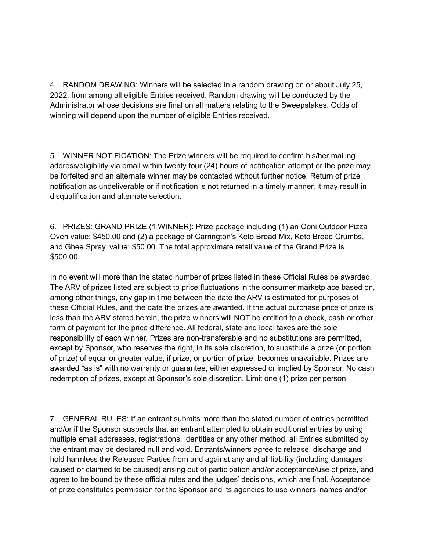4. RANDOM DRAWING: Winners will be selected in a random drawing on or about July 25, 2022, from among all eligible Entries received. Random drawing will be conducted by the Administrator whose decisions are final on all matters relating to the Sweepstakes. Odds of winning will depend upon the number of eligible Entries received.

5. WINNER NOTIFICATION: The Prize winners will be required to confirm his/her mailing address/eligibility via email within twenty four (24) hours of notification attempt or the prize may be forfeited and an alternate winner may be contacted without further notice. Return of prize notification as undeliverable or if notification is not returned in a timely manner, it may result in disqualification and alternate selection.

6. PRIZES: GRAND PRIZE (1 WINNER): Prize package including (1) an Ooni Outdoor Pizza Oven value: \$450.00 and (2) a package of Carrington's Keto Bread Mix, Keto Bread Crumbs, and Ghee Spray, value: \$50.00. The total approximate retail value of the Grand Prize is \$500.00.

In no event will more than the stated number of prizes listed in these Official Rules be awarded. The ARV of prizes listed are subject to price fluctuations in the consumer marketplace based on, among other things, any gap in time between the date the ARV is estimated for purposes of these Official Rules, and the date the prizes are awarded. If the actual purchase price of prize is less than the ARV stated herein, the prize winners will NOT be entitled to a check, cash or other form of payment for the price difference. All federal, state and local taxes are the sole responsibility of each winner. Prizes are non-transferable and no substitutions are permitted, except by Sponsor, who reserves the right, in its sole discretion, to substitute a prize (or portion of prize) of equal or greater value, if prize, or portion of prize, becomes unavailable. Prizes are awarded "as is" with no warranty or guarantee, either expressed or implied by Sponsor. No cash redemption of prizes, except at Sponsor's sole discretion. Limit one (1) prize per person.

7. GENERAL RULES: If an entrant submits more than the stated number of entries permitted, and/or if the Sponsor suspects that an entrant attempted to obtain additional entries by using multiple email addresses, registrations, identities or any other method, all Entries submitted by the entrant may be declared null and void. Entrants/winners agree to release, discharge and hold harmless the Released Parties from and against any and all liability (including damages caused or claimed to be caused) arising out of participation and/or acceptance/use of prize, and agree to be bound by these official rules and the judges' decisions, which are final. Acceptance of prize constitutes permission for the Sponsor and its agencies to use winners' names and/or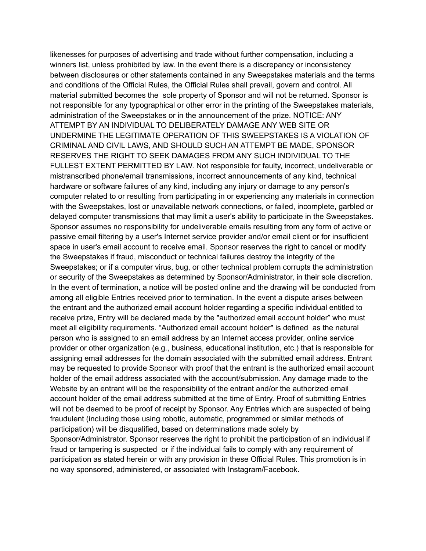likenesses for purposes of advertising and trade without further compensation, including a winners list, unless prohibited by law. In the event there is a discrepancy or inconsistency between disclosures or other statements contained in any Sweepstakes materials and the terms and conditions of the Official Rules, the Official Rules shall prevail, govern and control. All material submitted becomes the sole property of Sponsor and will not be returned. Sponsor is not responsible for any typographical or other error in the printing of the Sweepstakes materials, administration of the Sweepstakes or in the announcement of the prize. NOTICE: ANY ATTEMPT BY AN INDIVIDUAL TO DELIBERATELY DAMAGE ANY WEB SITE OR UNDERMINE THE LEGITIMATE OPERATION OF THIS SWEEPSTAKES IS A VIOLATION OF CRIMINAL AND CIVIL LAWS, AND SHOULD SUCH AN ATTEMPT BE MADE, SPONSOR RESERVES THE RIGHT TO SEEK DAMAGES FROM ANY SUCH INDIVIDUAL TO THE FULLEST EXTENT PERMITTED BY LAW. Not responsible for faulty, incorrect, undeliverable or mistranscribed phone/email transmissions, incorrect announcements of any kind, technical hardware or software failures of any kind, including any injury or damage to any person's computer related to or resulting from participating in or experiencing any materials in connection with the Sweepstakes, lost or unavailable network connections, or failed, incomplete, garbled or delayed computer transmissions that may limit a user's ability to participate in the Sweepstakes. Sponsor assumes no responsibility for undeliverable emails resulting from any form of active or passive email filtering by a user's Internet service provider and/or email client or for insufficient space in user's email account to receive email. Sponsor reserves the right to cancel or modify the Sweepstakes if fraud, misconduct or technical failures destroy the integrity of the Sweepstakes; or if a computer virus, bug, or other technical problem corrupts the administration or security of the Sweepstakes as determined by Sponsor/Administrator, in their sole discretion. In the event of termination, a notice will be posted online and the drawing will be conducted from among all eligible Entries received prior to termination. In the event a dispute arises between the entrant and the authorized email account holder regarding a specific individual entitled to receive prize, Entry will be declared made by the "authorized email account holder" who must meet all eligibility requirements. "Authorized email account holder" is defined as the natural person who is assigned to an email address by an Internet access provider, online service provider or other organization (e.g., business, educational institution, etc.) that is responsible for assigning email addresses for the domain associated with the submitted email address. Entrant may be requested to provide Sponsor with proof that the entrant is the authorized email account holder of the email address associated with the account/submission. Any damage made to the Website by an entrant will be the responsibility of the entrant and/or the authorized email account holder of the email address submitted at the time of Entry. Proof of submitting Entries will not be deemed to be proof of receipt by Sponsor. Any Entries which are suspected of being fraudulent (including those using robotic, automatic, programmed or similar methods of participation) will be disqualified, based on determinations made solely by Sponsor/Administrator. Sponsor reserves the right to prohibit the participation of an individual if fraud or tampering is suspected or if the individual fails to comply with any requirement of participation as stated herein or with any provision in these Official Rules. This promotion is in no way sponsored, administered, or associated with Instagram/Facebook.